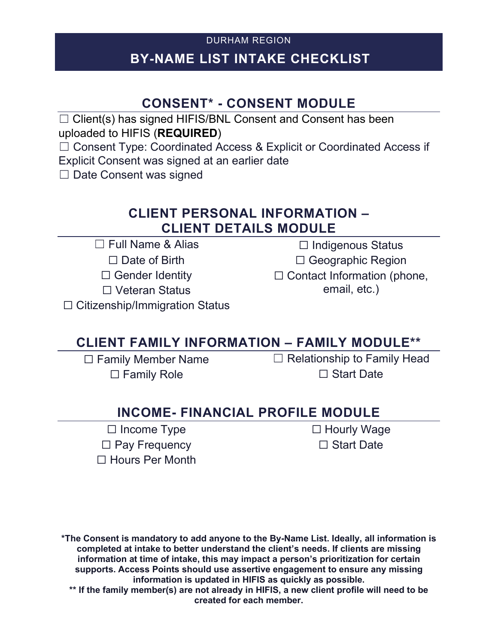## DURHAM REGION **BY-NAME LIST INTAKE CHECKLIST**

# **CONSENT\* - CONSENT MODULE**

□ Client(s) has signed HIFIS/BNL Consent and Consent has been uploaded to HIFIS (**REQUIRED**)

☐ Consent Type: Coordinated Access & Explicit or Coordinated Access if

Explicit Consent was signed at an earlier date

□ Date Consent was signed

#### **CLIENT PERSONAL INFORMATION – CLIENT DETAILS MODULE**

 $\Box$  Full Name & Alias

□ Date of Birth

 $\Box$  Gender Identity

☐ Veteran Status

☐ Citizenship/Immigration Status

### **CLIENT FAMILY INFORMATION – FAMILY MODULE\*\***

☐ Family Member Name □ Family Role

 $\Box$  Relationship to Family Head □ Start Date

☐ Indigenous Status ☐ Geographic Region □ Contact Information (phone, email, etc.)

### **INCOME- FINANCIAL PROFILE MODULE**

☐ Income Type □ Pay Frequency ☐ Hours Per Month □ Hourly Wage □ Start Date

**\*The Consent is mandatory to add anyone to the By-Name List. Ideally, all information is completed at intake to better understand the client's needs. If clients are missing information at time of intake, this may impact a person's prioritization for certain supports. Access Points should use assertive engagement to ensure any missing information is updated in HIFIS as quickly as possible.**

**\*\* If the family member(s) are not already in HIFIS, a new client profile will need to be created for each member.**